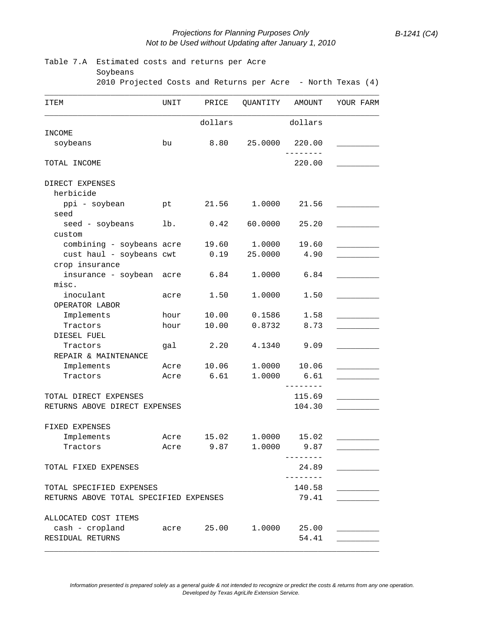## *Projections for Planning Purposes Only B-1241 (C4) Not to be Used without Updating after January 1, 2010*

| Table 7.A                              | Estimated costs and returns per Acre                        |            |          |                          |           |  |  |  |  |  |  |  |  |
|----------------------------------------|-------------------------------------------------------------|------------|----------|--------------------------|-----------|--|--|--|--|--|--|--|--|
| Soybeans                               | 2010 Projected Costs and Returns per Acre - North Texas (4) |            |          |                          |           |  |  |  |  |  |  |  |  |
|                                        |                                                             |            |          |                          |           |  |  |  |  |  |  |  |  |
| ITEM                                   | UNIT                                                        | PRICE      | QUANTITY | AMOUNT                   | YOUR FARM |  |  |  |  |  |  |  |  |
|                                        |                                                             | dollars    |          | dollars                  |           |  |  |  |  |  |  |  |  |
| INCOME                                 |                                                             |            |          |                          |           |  |  |  |  |  |  |  |  |
| soybeans                               | bu                                                          | 8.80       | 25.0000  | 220.00                   |           |  |  |  |  |  |  |  |  |
| TOTAL INCOME                           |                                                             |            |          | 220.00                   |           |  |  |  |  |  |  |  |  |
| DIRECT EXPENSES                        |                                                             |            |          |                          |           |  |  |  |  |  |  |  |  |
| herbicide                              |                                                             |            |          |                          |           |  |  |  |  |  |  |  |  |
| ppi - soybean                          | pt                                                          | 21.56      | 1.0000   | 21.56                    |           |  |  |  |  |  |  |  |  |
| seed                                   |                                                             |            |          |                          |           |  |  |  |  |  |  |  |  |
| seed - soybeans<br>custom              | lb.                                                         | 0.42       | 60.0000  | 25.20                    |           |  |  |  |  |  |  |  |  |
| combining - soybeans acre              |                                                             | 19.60      | 1.0000   | 19.60                    |           |  |  |  |  |  |  |  |  |
| cust haul - soybeans cwt               |                                                             | 0.19       | 25.0000  | 4.90                     |           |  |  |  |  |  |  |  |  |
| crop insurance                         |                                                             |            |          |                          |           |  |  |  |  |  |  |  |  |
| insurance - soybean acre               |                                                             | 6.84       | 1.0000   | 6.84                     |           |  |  |  |  |  |  |  |  |
| misc.                                  |                                                             |            |          |                          |           |  |  |  |  |  |  |  |  |
| inoculant                              | acre                                                        | 1.50       | 1.0000   | 1.50                     |           |  |  |  |  |  |  |  |  |
| OPERATOR LABOR                         |                                                             |            |          |                          |           |  |  |  |  |  |  |  |  |
| Implements                             | hour                                                        | 10.00      | 0.1586   | 1.58                     |           |  |  |  |  |  |  |  |  |
| Tractors                               | hour                                                        | 10.00      | 0.8732   | 8.73                     |           |  |  |  |  |  |  |  |  |
| DIESEL FUEL                            |                                                             |            |          |                          |           |  |  |  |  |  |  |  |  |
| Tractors                               | qal                                                         | 2.20       | 4.1340   | 9.09                     |           |  |  |  |  |  |  |  |  |
| REPAIR & MAINTENANCE                   |                                                             |            |          |                          |           |  |  |  |  |  |  |  |  |
| Implements                             | Acre                                                        | 10.06      | 1.0000   | 10.06                    |           |  |  |  |  |  |  |  |  |
| Tractors                               | Acre                                                        | 6.61       | 1.0000   | 6.61                     |           |  |  |  |  |  |  |  |  |
| TOTAL DIRECT EXPENSES                  |                                                             |            |          | 115.69                   |           |  |  |  |  |  |  |  |  |
| RETURNS ABOVE DIRECT EXPENSES          |                                                             |            | 104.30   |                          |           |  |  |  |  |  |  |  |  |
| FIXED EXPENSES                         |                                                             |            |          |                          |           |  |  |  |  |  |  |  |  |
| Implements                             |                                                             | Acre 15.02 |          | 1.0000 15.02             |           |  |  |  |  |  |  |  |  |
| Tractors                               |                                                             | Acre 9.87  |          | 1.0000 9.87              |           |  |  |  |  |  |  |  |  |
|                                        |                                                             |            |          | ---------                |           |  |  |  |  |  |  |  |  |
| TOTAL FIXED EXPENSES                   |                                                             |            |          | 24.89<br>$- - - - - - -$ |           |  |  |  |  |  |  |  |  |
| TOTAL SPECIFIED EXPENSES               |                                                             |            |          | 140.58                   |           |  |  |  |  |  |  |  |  |
| RETURNS ABOVE TOTAL SPECIFIED EXPENSES |                                                             |            |          | 79.41                    |           |  |  |  |  |  |  |  |  |
| ALLOCATED COST ITEMS                   |                                                             |            |          |                          |           |  |  |  |  |  |  |  |  |
| cash - cropland                        | acre                                                        | 25.00      | 1.0000   | 25.00                    |           |  |  |  |  |  |  |  |  |
| RESIDUAL RETURNS                       |                                                             |            |          | 54.41                    |           |  |  |  |  |  |  |  |  |

*Information presented is prepared solely as a general guide & not intended to recognize or predict the costs & returns from any one operation. Developed by Texas AgriLife Extension Service.*

\_\_\_\_\_\_\_\_\_\_\_\_\_\_\_\_\_\_\_\_\_\_\_\_\_\_\_\_\_\_\_\_\_\_\_\_\_\_\_\_\_\_\_\_\_\_\_\_\_\_\_\_\_\_\_\_\_\_\_\_\_\_\_\_\_\_\_\_\_\_\_